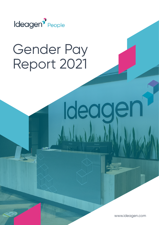

## Gender Pay Report 2021

www.ideagen.com

Ideagel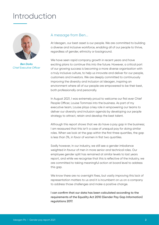### Introduction



*Ben Dorks Chief Executive Officer*

#### A message from Ben...

At Ideagen, our best asset is our people. We are committed to building a diverse and inclusive workforce, enabling all of our people to thrive, regardless of gender, ethnicity or background.

We have seen rapid company growth in recent years and have exciting plans to continue this into the future. However, a critical part of our growing success is becoming a more diverse organisation with a truly inclusive culture, to help us innovate and deliver for our people, customers and investors. We are deeply committed to continuously improving the diversity and inclusion at Ideagen, inspiring an environment where all of our people are empowered to be their best, both professionally and personally.

In August 2021, I was extremely proud to welcome our first ever Chief People Officer, Louise Tommasi into the business. As part of my executive team, Louise plays a key role in empowering our teams to deliver our diversity and inclusion agenda by developing our people strategy to attract, retain and develop the best talent.

Although this report shows that we do have a pay gap in the business; I am reassured that this isn't a case of unequal pay for doing similar roles. When we look at the gap within the first three quartiles, the gap is less than 3%, in favor of women in first two quartiles.

Sadly however, in our industry, we still see a gender imbalance weighted in favour of men in more senior and technical roles. Our employee gender split has remained at similar levels to last years report, and while we recognise that this is reflective of the industry, we are committed to taking meaningful action at board level to address this gap.

We know there are no overnight fixes, but vastly improving this lack of representation matters to us and it is incumbent on us on a company to address those challenges and make a positive change.

**I can confirm that our data has been calculated according to the requirements of the Equality Act 2010 (Gender Pay Gap Information) regulations 2017.**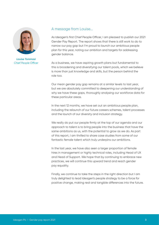

*Louise Tommasi Chief People Officer*

#### A message from Louise...

As Ideagen's first Chief People Officer, I am pleased to publish our 2021 Gender Pay Report. The report shows that there is still work to do to narrow our pay gap but I'm proud to launch our ambitious people plan for this year, noting our ambition and targets for addressing gender balance.

As a business, we have aspiring growth plans but fundamental to this is broadening and diversifying our talent pools, which we believe is more than just knowledge and skills, but the person behind the role too.

Our mean gender pay gap remains at a similar levels to last year, but we are absolutely committed to deepening our understanding of why we have these gaps, thoroughly analysing our workforce data for these particular areas.

In the next 12 months, we have set out an ambitious people plan, including the relaunch of our future careers schemes, talent processes and the launch of our diversity and inclusion strategy.

We really do put our people firmly at the top of our agenda and our approach to talent is to bring people into the business that have the same ambitions as us, with the potential to grow as we do. As part of this report, I am thrilled to share case studies from some of our fantastic female talent which truly underpins our ambitions.

In the last year, we have also seen a larger proportion of female hires in management or highly technical roles, including Head of UX and Head of Support. We hope that by continuing to embrace new practices, we will continue this upward trend and reach gender pay equality.

Finally, we continue to take the steps in the right direction but I am truly delighted to lead Ideagen's people strategy to be a force for positive change, making real and tangible differences into the future.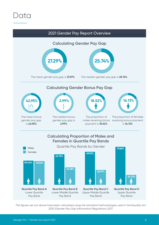



*The figures set out above have been calculated using the standard methodologies used in the Equality Act 2010 (Gender Pay Gap Information) Regulations 2017.*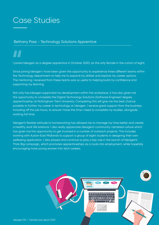### Case Studies

#### Bethany Pass - Technology Solutions Apprentice

### **"**

I joined Ideagen as a degree apprentice in October 2020, as the only female in the cohort of eight.

Since joining Ideagen I have been given the opportunity to experience three different teams within the Technology department to help me to expand my skillset and explore my career options. The mentoring I received from these teams was so useful to helping build my confidence and supporting my learning.

Not only has Ideagen supported my development within the workplace, it has also given me the opportunity to complete the Digital Technology Solutions (Software Engineer) degree apprenticeship at Nottingham Trent University. Completing this will give me the best chance possible to further my career in technology at Ideagen. I receive great support from the business including off the job hours, to ensure I have the time I need to complete my studies, alongside working full time.

Ideagen's flexible attitude to homeworking has allowed me to manage my time better and create a healthy work life balance. I also really appreciate Ideagen's community-centered culture which has given me the opportunity to get involved in a number of outreach projects. This includes working with Autism East Midlands to support a group of eight students in designing their own wellbeing application. I also played and continue to play a key role in the launch of Ideagen's Think Big campaign, which promotes apprenticeships as a route into employment, while hopefully encouraging more young women into tech careers.

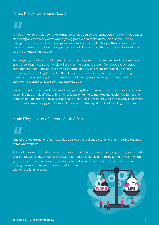Although I am relatively new, I was attracted to Ideagen by the reputation it has within education as a company that really cares about young people and their futures. Even before I joined, Ideagen had participated in many years of careers and school activity in the community and it was important to me to join a respected and admired business that was known for making a positive change in this space. **Althoug**<br>
as a coll<br> **deager** 

As Ideagen grows, I know that myself and my role will grow too. I have a sense of a career plan and I know that myself and my role will grow as the business grows. Alongside a clear career development plan, I am learning how to operate globally and more strategically, which is rewarding and enabling. I attended the Ideagen leadership academy and have challenged myself and developed my skills as a result of that. I really enjoy knowing that we have lots of development opportunities I can take advantage of.

Since I started at Ideagen, I can't recall a single day that I have felt that my work life balance was becoming negatively affected. This makes it easier for me to manage my health, wellbeing and homelife as I can factor in gym classes or social activities or rests knowing that it is my time, which in turn makes me a happy employee as I am looking after myself and not heading for a burnout.

#### Marie Riley - Head of Internal Audit & Risk

# **CONSUMPLE**

One of the key attractions for me to Ideagen was the real understanding of my need to balance home and work life.

Being able to work part time alongside hybrid working has enabled me to support my family while pushing forward in my career journey. Ideagen is also culturally a fantastic place to work. I've been given the autonomy in my role to positively impact business processes and performance whilst having the support network around me to connect with on challenging areas.